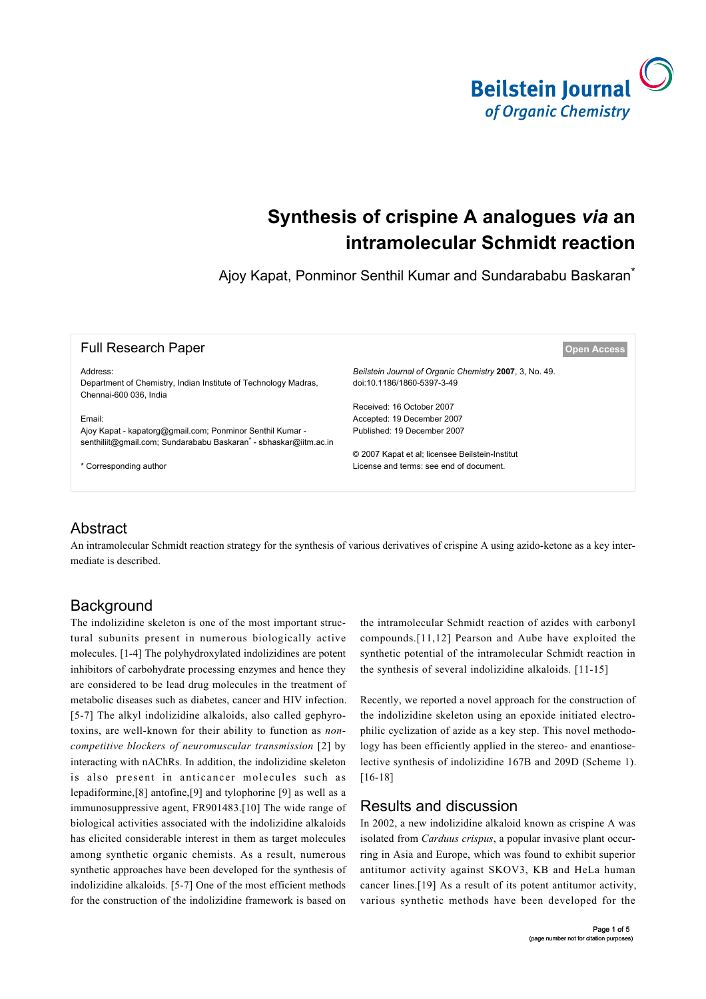

# **Synthesis of crispine A analogues** *via* **an intramolecular Schmidt reaction**

Ajoy Kapat, Ponminor Senthil Kumar and Sundarababu Baskaran<sup>\*</sup>

| <b>Full Research Paper</b>                                                                                                    |                                                                                       | <b>Open Access</b> |
|-------------------------------------------------------------------------------------------------------------------------------|---------------------------------------------------------------------------------------|--------------------|
| Address:<br>Department of Chemistry, Indian Institute of Technology Madras,<br>Chennai-600 036. India                         | Beilstein Journal of Organic Chemistry 2007, 3, No. 49.<br>doi:10.1186/1860-5397-3-49 |                    |
|                                                                                                                               | Received: 16 October 2007                                                             |                    |
| Email:                                                                                                                        | Accepted: 19 December 2007                                                            |                    |
| Ajoy Kapat - kapatorg@gmail.com; Ponminor Senthil Kumar -<br>senthiliit@gmail.com; Sundarababu Baskaran - sbhaskar@iitm.ac.in | Published: 19 December 2007                                                           |                    |
|                                                                                                                               | © 2007 Kapat et al; licensee Beilstein-Institut                                       |                    |
| * Corresponding author                                                                                                        | License and terms: see end of document.                                               |                    |
|                                                                                                                               |                                                                                       |                    |

## Abstract

An intramolecular Schmidt reaction strategy for the synthesis of various derivatives of crispine A using azido-ketone as a key intermediate is described.

## **Background**

The indolizidine skeleton is one of the most important structural subunits present in numerous biologically active molecules. [\[1-4\]](#page-3-0) The polyhydroxylated indolizidines are potent inhibitors of carbohydrate processing enzymes and hence they are considered to be lead drug molecules in the treatment of metabolic diseases such as diabetes, cancer and HIV infection. [\[5-7\]](#page-3-1) The alkyl indolizidine alkaloids, also called gephyrotoxins, are well-known for their ability to function as *noncompetitive blockers of neuromuscular transmission* [\[2\]](#page-3-2) by interacting with nAChRs. In addition, the indolizidine skeleton is also present in anticancer molecules such as lepadiformine,[\[8\]](#page-3-3) antofine,[\[9\]](#page-3-4) and tylophorine [\[9\]](#page-3-4) as well as a immunosuppressive agent, FR901483.[\[10\]](#page-3-5) The wide range of biological activities associated with the indolizidine alkaloids has elicited considerable interest in them as target molecules among synthetic organic chemists. As a result, numerous synthetic approaches have been developed for the synthesis of indolizidine alkaloids. [\[5-7\]](#page-3-1) One of the most efficient methods for the construction of the indolizidine framework is based on

the intramolecular Schmidt reaction of azides with carbonyl compounds.[\[11,12\]](#page-3-6) Pearson and Aube have exploited the synthetic potential of the intramolecular Schmidt reaction in the synthesis of several indolizidine alkaloids. [\[11-15\]](#page-3-6)

Recently, we reported a novel approach for the construction of the indolizidine skeleton using an epoxide initiated electrophilic cyclization of azide as a key step. This novel methodology has been efficiently applied in the stereo- and enantioselective synthesis of indolizidine 167B and 209D ([Scheme 1\)](#page-1-0). [\[16-18\]](#page-3-7)

## Results and discussion

In 2002, a new indolizidine alkaloid known as crispine A was isolated from *Carduus crispus*, a popular invasive plant occurring in Asia and Europe, which was found to exhibit superior antitumor activity against SKOV3, KB and HeLa human cancer lines.[\[19\]](#page-3-8) As a result of its potent antitumor activity, various synthetic methods have been developed for the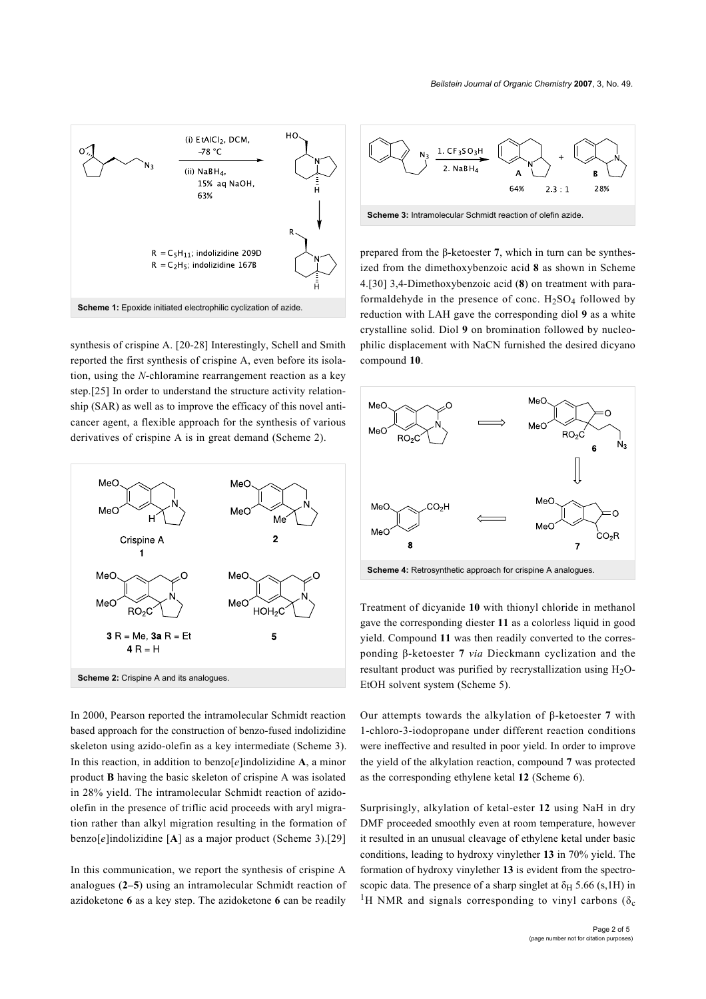<span id="page-1-0"></span>

synthesis of crispine A. [\[20-28\]](#page-3-9) Interestingly, Schell and Smith reported the first synthesis of crispine A, even before its isolation, using the *N*-chloramine rearrangement reaction as a key step.[\[25\]](#page-4-0) In order to understand the structure activity relationship (SAR) as well as to improve the efficacy of this novel anticancer agent, a flexible approach for the synthesis of various derivatives of crispine A is in great demand ([Scheme 2](#page-1-1)).

<span id="page-1-1"></span>

In 2000, Pearson reported the intramolecular Schmidt reaction based approach for the construction of benzo-fused indolizidine skeleton using azido-olefin as a key intermediate [\(Scheme 3\)](#page-1-2). In this reaction, in addition to benzo[*e*]indolizidine **A**, a minor product **B** having the basic skeleton of crispine A was isolated in 28% yield. The intramolecular Schmidt reaction of azidoolefin in the presence of triflic acid proceeds with aryl migration rather than alkyl migration resulting in the formation of benzo[*e*]indolizidine [**A**] as a major product [\(Scheme 3](#page-1-2)).[\[29\]](#page-4-1)

In this communication, we report the synthesis of crispine A analogues (**2–5**) using an intramolecular Schmidt reaction of azidoketone **6** as a key step. The azidoketone **6** can be readily

<span id="page-1-2"></span>

prepared from the β-ketoester **7**, which in turn can be synthesized from the dimethoxybenzoic acid **8** as shown in [Scheme](#page-1-3) [4](#page-1-3).[\[30\]](#page-4-2) 3,4-Dimethoxybenzoic acid (**8**) on treatment with paraformaldehyde in the presence of conc.  $H<sub>2</sub>SO<sub>4</sub>$  followed by reduction with LAH gave the corresponding diol **9** as a white crystalline solid. Diol **9** on bromination followed by nucleophilic displacement with NaCN furnished the desired dicyano

compound **10**.

<span id="page-1-3"></span>

**Scheme 4:** Retrosynthetic approach for crispine A analogues.

Treatment of dicyanide **10** with thionyl chloride in methanol gave the corresponding diester **11** as a colorless liquid in good yield. Compound **11** was then readily converted to the corresponding β-ketoester **7** *via* Dieckmann cyclization and the resultant product was purified by recrystallization using  $H_2O$ -EtOH solvent system ([Scheme 5](#page-2-0)).

Our attempts towards the alkylation of β-ketoester **7** with 1-chloro-3-iodopropane under different reaction conditions were ineffective and resulted in poor yield. In order to improve the yield of the alkylation reaction, compound **7** was protected as the corresponding ethylene ketal **12** ([Scheme 6\)](#page-2-1).

Surprisingly, alkylation of ketal-ester **12** using NaH in dry DMF proceeded smoothly even at room temperature, however it resulted in an unusual cleavage of ethylene ketal under basic conditions, leading to hydroxy vinylether **13** in 70% yield. The formation of hydroxy vinylether **13** is evident from the spectroscopic data. The presence of a sharp singlet at  $\delta_H$  5.66 (s, 1H) in <sup>1</sup>H NMR and signals corresponding to vinyl carbons ( $\delta_c$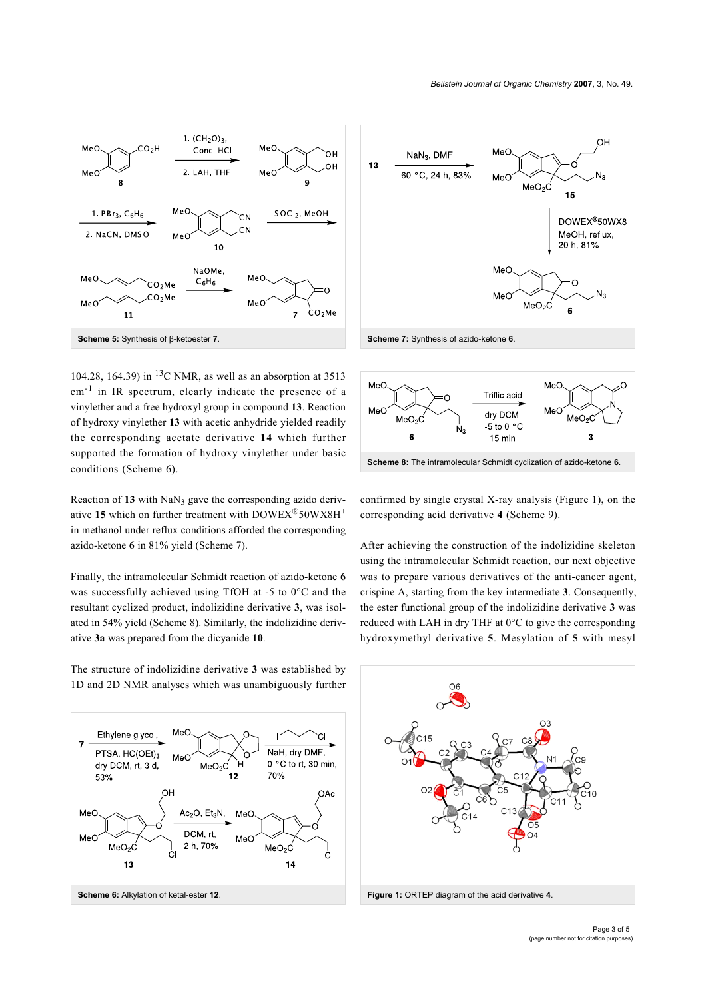<span id="page-2-0"></span>

104.28, 164.39) in  ${}^{13}$ C NMR, as well as an absorption at 3513 cm<sup>-1</sup> in IR spectrum, clearly indicate the presence of a vinylether and a free hydroxyl group in compound **13**. Reaction of hydroxy vinylether **13** with acetic anhydride yielded readily the corresponding acetate derivative **14** which further supported the formation of hydroxy vinylether under basic conditions [\(Scheme 6](#page-2-1)).

Reaction of 13 with NaN<sub>3</sub> gave the corresponding azido derivative 15 which on further treatment with DOWEX<sup>®</sup>50WX8H<sup>+</sup> in methanol under reflux conditions afforded the corresponding azido-ketone **6** in 81% yield ([Scheme 7\)](#page-2-2).

Finally, the intramolecular Schmidt reaction of azido-ketone **6** was successfully achieved using TfOH at -5 to 0°C and the resultant cyclized product, indolizidine derivative **3**, was isolated in 54% yield ([Scheme 8](#page-2-3)). Similarly, the indolizidine derivative **3a** was prepared from the dicyanide **10**.

The structure of indolizidine derivative **3** was established by 1D and 2D NMR analyses which was unambiguously further

<span id="page-2-1"></span>

<span id="page-2-2"></span>

<span id="page-2-3"></span>

confirmed by single crystal X-ray analysis ([Figure 1](#page-2-4)), on the corresponding acid derivative **4** ([Scheme 9\)](#page-3-10).

After achieving the construction of the indolizidine skeleton using the intramolecular Schmidt reaction, our next objective was to prepare various derivatives of the anti-cancer agent, crispine A, starting from the key intermediate **3**. Consequently, the ester functional group of the indolizidine derivative **3** was reduced with LAH in dry THF at 0°C to give the corresponding hydroxymethyl derivative **5**. Mesylation of **5** with mesyl

<span id="page-2-4"></span>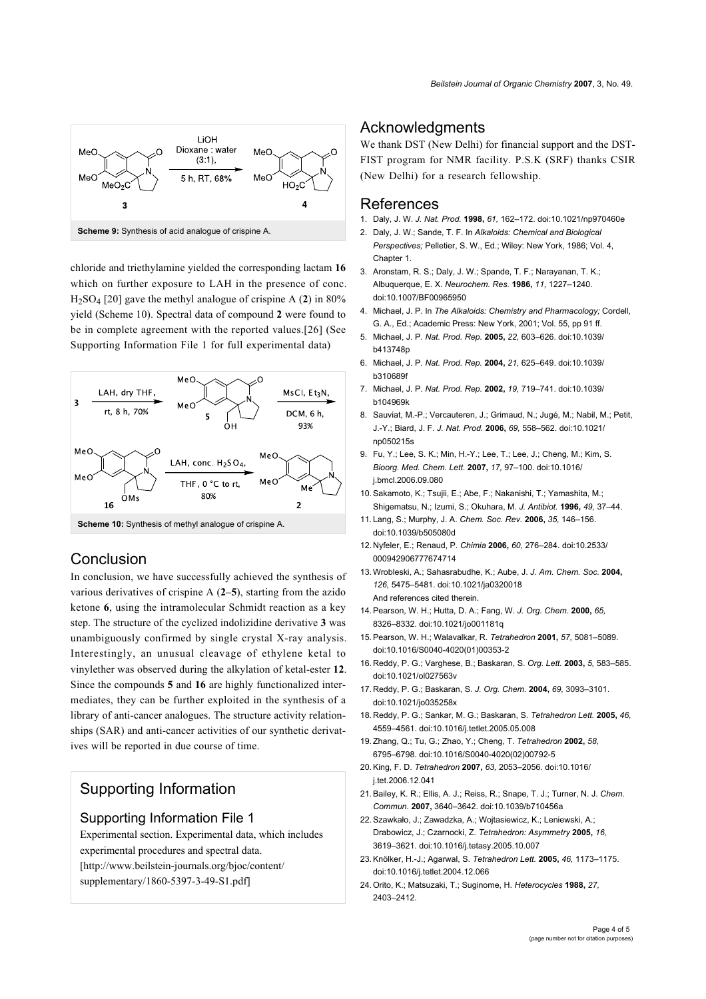<span id="page-3-10"></span>

chloride and triethylamine yielded the corresponding lactam **16** which on further exposure to LAH in the presence of conc. H2SO<sup>4</sup> [\[20\]](#page-3-9) gave the methyl analogue of crispine A (**2**) in 80% yield [\(Scheme 10\)](#page-3-11). Spectral data of compound **2** were found to be in complete agreement with the reported values.[\[26\]](#page-4-3) (See [Supporting Information File 1](#page-3-12) for full experimental data)

<span id="page-3-11"></span>

#### **Scheme 10:** Synthesis of methyl analogue of crispine A.

#### Conclusion

In conclusion, we have successfully achieved the synthesis of various derivatives of crispine A (**2–5**), starting from the azido ketone **6**, using the intramolecular Schmidt reaction as a key step. The structure of the cyclized indolizidine derivative **3** was unambiguously confirmed by single crystal X-ray analysis. Interestingly, an unusual cleavage of ethylene ketal to vinylether was observed during the alkylation of ketal-ester **12**. Since the compounds **5** and **16** are highly functionalized intermediates, they can be further exploited in the synthesis of a library of anti-cancer analogues. The structure activity relationships (SAR) and anti-cancer activities of our synthetic derivatives will be reported in due course of time.

# Supporting Information

#### <span id="page-3-12"></span>Supporting Information File 1

Experimental section. Experimental data, which includes experimental procedures and spectral data. [\[http://www.beilstein-journals.org/bjoc/content/](http://www.beilstein-journals.org/bjoc/content/supplementary/1860-5397-3-49-S1.pdf) [supplementary/1860-5397-3-49-S1.pdf\]](http://www.beilstein-journals.org/bjoc/content/supplementary/1860-5397-3-49-S1.pdf)

#### **Acknowledaments**

We thank DST (New Delhi) for financial support and the DST-FIST program for NMR facility. P.S.K (SRF) thanks CSIR (New Delhi) for a research fellowship.

#### References

- <span id="page-3-0"></span>1. Daly, J. W. *J. Nat. Prod.* **1998,** *61,* 162–172. [doi:10.1021/np970460e](http://dx.doi.org/doi:10.1021/np970460e)
- <span id="page-3-2"></span>2. Daly, J. W.; Sande, T. F. In *Alkaloids: Chemical and Biological Perspectives;* Pelletier, S. W., Ed.; Wiley: New York, 1986; Vol. 4, Chanter 1
- 3. Aronstam, R. S.; Daly, J. W.; Spande, T. F.; Narayanan, T. K.; Albuquerque, E. X. *Neurochem. Res.* **1986,** *11,* 1227–1240. [doi:10.1007/BF00965950](http://dx.doi.org/doi:10.1007/BF00965950)
- 4. Michael, J. P. In *The Alkaloids: Chemistry and Pharmacology;* Cordell, G. A., Ed.; Academic Press: New York, 2001; Vol. 55, pp 91 ff.
- <span id="page-3-1"></span>5. Michael, J. P. *Nat. Prod. Rep.* **2005,** *22,* 603–626. [doi:10.1039/](http://dx.doi.org/doi:10.1039/b413748p) [b413748p](http://dx.doi.org/doi:10.1039/b413748p)
- 6. Michael, J. P. *Nat. Prod. Rep.* **2004,** *21,* 625–649. [doi:10.1039/](http://dx.doi.org/doi:10.1039/b310689f) [b310689f](http://dx.doi.org/doi:10.1039/b310689f)
- 7. Michael, J. P. *Nat. Prod. Rep.* **2002,** *19,* 719–741. [doi:10.1039/](http://dx.doi.org/doi:10.1039/b104969k) [b104969k](http://dx.doi.org/doi:10.1039/b104969k)
- <span id="page-3-3"></span>8. Sauviat, M.-P.; Vercauteren, J.; Grimaud, N.; Jugé, M.; Nabil, M.; Petit, J.-Y.; Biard, J. F. *J. Nat. Prod.* **2006,** *69,* 558–562. [doi:10.1021/](http://dx.doi.org/doi:10.1021/np050215s) [np050215s](http://dx.doi.org/doi:10.1021/np050215s)
- <span id="page-3-4"></span>9. Fu, Y.; Lee, S. K.; Min, H.-Y.; Lee, T.; Lee, J.; Cheng, M.; Kim, S. *Bioorg. Med. Chem. Lett.* **2007,** *17,* 97–100. [doi:10.1016/](http://dx.doi.org/doi:10.1016/j.bmcl.2006.09.080) [j.bmcl.2006.09.080](http://dx.doi.org/doi:10.1016/j.bmcl.2006.09.080)
- <span id="page-3-5"></span>10.Sakamoto, K.; Tsujii, E.; Abe, F.; Nakanishi, T.; Yamashita, M.; Shigematsu, N.; Izumi, S.; Okuhara, M. *J. Antibiot.* **1996,** *49,* 37–44.
- <span id="page-3-6"></span>11. Lang, S.; Murphy, J. A. *Chem. Soc. Rev.* **2006,** *35,* 146–156. [doi:10.1039/b505080d](http://dx.doi.org/doi:10.1039/b505080d)
- 12. Nyfeler, E.; Renaud, P. *Chimia* **2006,** *60,* 276–284. [doi:10.2533/](http://dx.doi.org/doi:10.2533/000942906777674714) [000942906777674714](http://dx.doi.org/doi:10.2533/000942906777674714)
- 13.Wrobleski, A.; Sahasrabudhe, K.; Aube, J. *J. Am. Chem. Soc.* **2004,** *126,* 5475–5481. [doi:10.1021/ja0320018](http://dx.doi.org/doi:10.1021/ja0320018) And references cited therein.
- 14.Pearson, W. H.; Hutta, D. A.; Fang, W. *J. Org. Chem.* **2000,** *65,* 8326–8332. [doi:10.1021/jo001181q](http://dx.doi.org/doi:10.1021/jo001181q)
- 15.Pearson, W. H.; Walavalkar, R. *Tetrahedron* **2001,** *57,* 5081–5089. [doi:10.1016/S0040-4020\(01\)00353-2](http://dx.doi.org/doi:10.1016/S0040-4020(01)00353-2)
- <span id="page-3-7"></span>16. Reddy, P. G.; Varghese, B.; Baskaran, S. *Org. Lett.* **2003,** *5,* 583–585. [doi:10.1021/ol027563v](http://dx.doi.org/doi:10.1021/ol027563v)
- 17. Reddy, P. G.; Baskaran, S. *J. Org. Chem.* **2004,** *69,* 3093–3101. [doi:10.1021/jo035258x](http://dx.doi.org/doi:10.1021/jo035258x)
- 18. Reddy, P. G.; Sankar, M. G.; Baskaran, S. *Tetrahedron Lett.* **2005,** *46,* 4559–4561. [doi:10.1016/j.tetlet.2005.05.008](http://dx.doi.org/doi:10.1016/j.tetlet.2005.05.008)
- <span id="page-3-8"></span>19.Zhang, Q.; Tu, G.; Zhao, Y.; Cheng, T. *Tetrahedron* **2002,** *58,* 6795–6798. [doi:10.1016/S0040-4020\(02\)00792-5](http://dx.doi.org/doi:10.1016/S0040-4020(02)00792-5)
- <span id="page-3-9"></span>20.King, F. D. *Tetrahedron* **2007,** *63,* 2053–2056. [doi:10.1016/](http://dx.doi.org/doi:10.1016/j.tet.2006.12.041) [j.tet.2006.12.041](http://dx.doi.org/doi:10.1016/j.tet.2006.12.041)
- 21.Bailey, K. R.; Ellis, A. J.; Reiss, R.; Snape, T. J.; Turner, N. J. *Chem. Commun.* **2007,** 3640–3642. [doi:10.1039/b710456a](http://dx.doi.org/doi:10.1039/b710456a)
- 22.Szawkało, J.; Zawadzka, A.; Wojtasiewicz, K.; Leniewski, A.; Drabowicz, J.; Czarnocki, Z. *Tetrahedron: Asymmetry* **2005,** *16,* 3619–3621. [doi:10.1016/j.tetasy.2005.10.007](http://dx.doi.org/doi:10.1016/j.tetasy.2005.10.007)
- 23.Knölker, H.-J.; Agarwal, S. *Tetrahedron Lett.* **2005,** *46,* 1173–1175. [doi:10.1016/j.tetlet.2004.12.066](http://dx.doi.org/doi:10.1016/j.tetlet.2004.12.066)
- 24.Orito, K.; Matsuzaki, T.; Suginome, H. *Heterocycles* **1988,** *27,* 2403–2412.